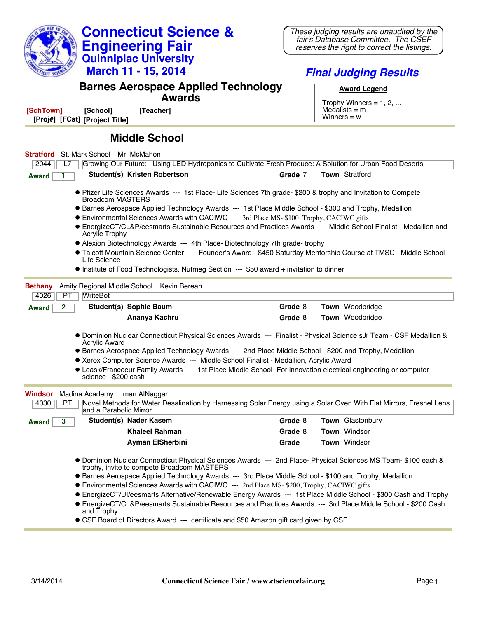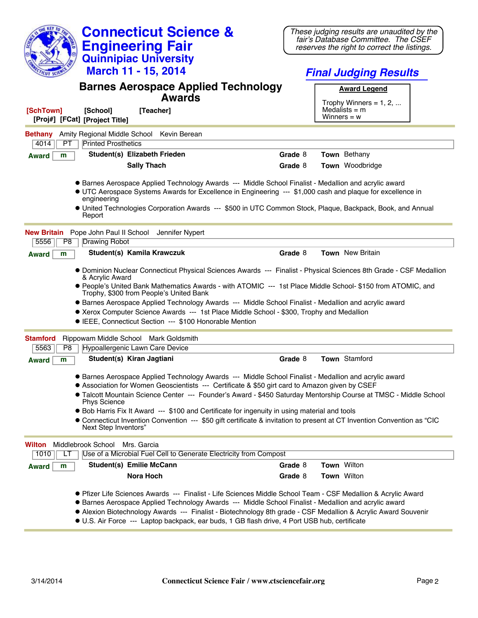| <b>Connecticut Science &amp;</b>                                                                                                                                                                                                          | These judging results are unaudited by the<br>fair's Database Committee. The CSEF                                                                            |
|-------------------------------------------------------------------------------------------------------------------------------------------------------------------------------------------------------------------------------------------|--------------------------------------------------------------------------------------------------------------------------------------------------------------|
| <b>Engineering Fair</b>                                                                                                                                                                                                                   | reserves the right to correct the listings.                                                                                                                  |
| <b>Quinnipiac University</b>                                                                                                                                                                                                              |                                                                                                                                                              |
| March 11 - 15, 2014                                                                                                                                                                                                                       | <b>Final Judging Results</b>                                                                                                                                 |
| <b>Barnes Aerospace Applied Technology</b>                                                                                                                                                                                                | <b>Award Legend</b>                                                                                                                                          |
| <b>Awards</b>                                                                                                                                                                                                                             | Trophy Winners = $1, 2, $                                                                                                                                    |
| [SchTown]<br>[School]<br>[Teacher]<br>[Proj#] [FCat] [Project Title]                                                                                                                                                                      | Medalists $=$ m<br>Winners = $w$                                                                                                                             |
| Amity Regional Middle School Kevin Berean<br><b>Bethany</b><br><b>Printed Prosthetics</b><br>4014<br>PT                                                                                                                                   |                                                                                                                                                              |
| Student(s) Elizabeth Frieden<br><b>Award</b><br>m                                                                                                                                                                                         | Town Bethany<br>Grade 8                                                                                                                                      |
| <b>Sally Thach</b>                                                                                                                                                                                                                        | Town Woodbridge<br>Grade 8                                                                                                                                   |
|                                                                                                                                                                                                                                           |                                                                                                                                                              |
| <b>• Barnes Aerospace Applied Technology Awards --- Middle School Finalist - Medallion and acrylic award</b><br>• UTC Aerospace Systems Awards for Excellence in Engineering --- \$1,000 cash and plaque for excellence in<br>engineering |                                                                                                                                                              |
| Report                                                                                                                                                                                                                                    | • United Technologies Corporation Awards --- \$500 in UTC Common Stock, Plaque, Backpack, Book, and Annual                                                   |
| <b>New Britain</b><br>Pope John Paul II School Jennifer Nypert                                                                                                                                                                            |                                                                                                                                                              |
| 5556<br>P <sub>8</sub><br>Drawing Robot                                                                                                                                                                                                   |                                                                                                                                                              |
| Student(s) Kamila Krawczuk<br><b>Award</b><br>m                                                                                                                                                                                           | Grade 8<br><b>Town</b> New Britain                                                                                                                           |
| & Acrylic Award                                                                                                                                                                                                                           | • Dominion Nuclear Connecticut Physical Sciences Awards --- Finalist - Physical Sciences 8th Grade - CSF Medallion                                           |
| Trophy, \$300 from People's United Bank                                                                                                                                                                                                   | ● People's United Bank Mathematics Awards - with ATOMIC --- 1st Place Middle School- \$150 from ATOMIC, and                                                  |
| • Barnes Aerospace Applied Technology Awards --- Middle School Finalist - Medallion and acrylic award                                                                                                                                     |                                                                                                                                                              |
| • Xerox Computer Science Awards --- 1st Place Middle School - \$300, Trophy and Medallion<br>• IEEE, Connecticut Section --- \$100 Honorable Mention                                                                                      |                                                                                                                                                              |
|                                                                                                                                                                                                                                           |                                                                                                                                                              |
| Rippowam Middle School Mark Goldsmith<br><b>Stamford</b>                                                                                                                                                                                  |                                                                                                                                                              |
| Hypoallergenic Lawn Care Device<br>5563<br>P8                                                                                                                                                                                             |                                                                                                                                                              |
| Student(s) Kiran Jagtiani<br>m<br><b>Award</b>                                                                                                                                                                                            | Town Stamford<br>Grade 8                                                                                                                                     |
| • Barnes Aerospace Applied Technology Awards --- Middle School Finalist - Medallion and acrylic award<br>• Association for Women Geoscientists --- Certificate & \$50 girt card to Amazon given by CSEF                                   |                                                                                                                                                              |
| <b>Phys Science</b>                                                                                                                                                                                                                       | • Talcott Mountain Science Center --- Founder's Award - \$450 Saturday Mentorship Course at TMSC - Middle School                                             |
| • Bob Harris Fix It Award --- \$100 and Certificate for ingenuity in using material and tools                                                                                                                                             |                                                                                                                                                              |
| Next Step Inventors"                                                                                                                                                                                                                      | • Connecticut Invention Convention --- \$50 gift certificate & invitation to present at CT Invention Convention as "CIC                                      |
| Middlebrook School<br>Mrs. Garcia<br>Wilton<br>Use of a Microbial Fuel Cell to Generate Electricity from Compost                                                                                                                          |                                                                                                                                                              |
| 1010<br>LТ                                                                                                                                                                                                                                | Town Wilton                                                                                                                                                  |
| Student(s) Emilie McCann<br>m<br><b>Award</b>                                                                                                                                                                                             | Grade 8                                                                                                                                                      |
| Nora Hoch                                                                                                                                                                                                                                 | Grade 8<br>Town Wilton                                                                                                                                       |
|                                                                                                                                                                                                                                           | ● Pfizer Life Sciences Awards --- Finalist - Life Sciences Middle School Team - CSF Medallion & Acrylic Award                                                |
| • Barnes Aerospace Applied Technology Awards --- Middle School Finalist - Medallion and acrylic award                                                                                                                                     |                                                                                                                                                              |
|                                                                                                                                                                                                                                           | • Alexion Biotechnology Awards --- Finalist - Biotechnology 8th grade - CSF Medallion & Acrylic Award Souvenir<br><b>Road of OD Back dates of Death OD R</b> |

l U.S. Air Force --- Laptop backpack, ear buds, 1 GB flash drive, 4 Port USB hub, certificate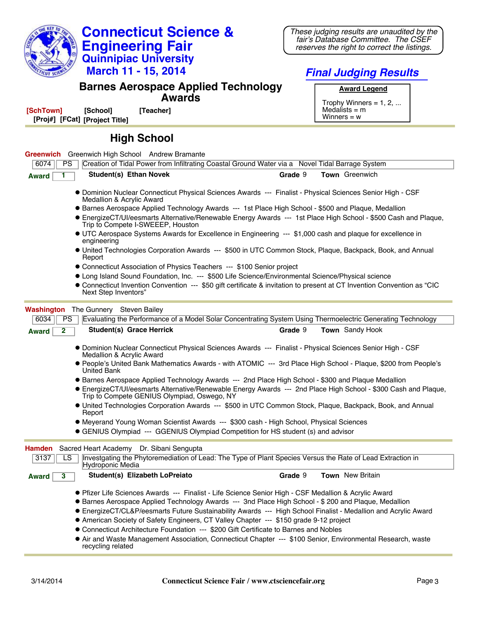